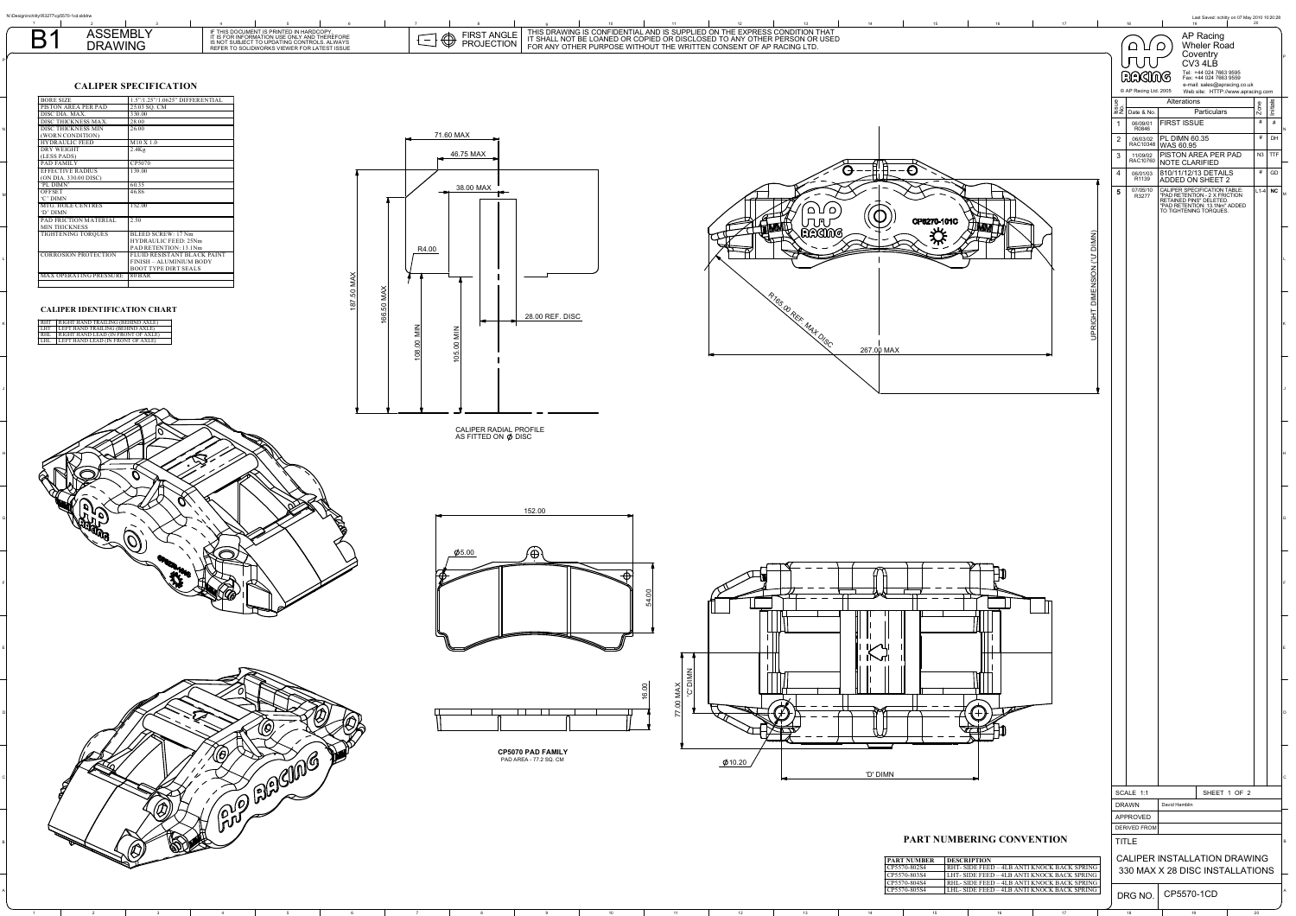